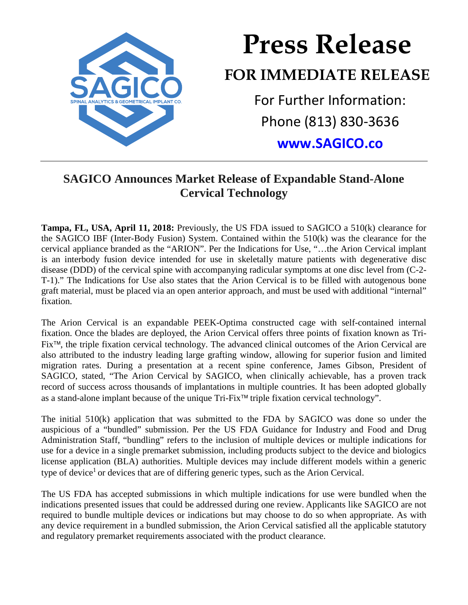

## **Press Release FOR IMMEDIATE RELEASE** For Further Information: Phone (813) 830-3636

**[www.SAGICO.co](http://www.sagico.co/)**

## **SAGICO Announces Market Release of Expandable Stand-Alone Cervical Technology**

**Tampa, FL, USA, April 11, 2018:** Previously, the US FDA issued to SAGICO a 510(k) clearance for the SAGICO IBF (Inter-Body Fusion) System. Contained within the 510(k) was the clearance for the cervical appliance branded as the "ARION". Per the Indications for Use, "…the Arion Cervical implant is an interbody fusion device intended for use in skeletally mature patients with degenerative disc disease (DDD) of the cervical spine with accompanying radicular symptoms at one disc level from (C-2- T-1)." The Indications for Use also states that the Arion Cervical is to be filled with autogenous bone graft material, must be placed via an open anterior approach, and must be used with additional "internal" fixation.

The Arion Cervical is an expandable PEEK-Optima constructed cage with self-contained internal fixation. Once the blades are deployed, the Arion Cervical offers three points of fixation known as Tri-Fix<sup>™</sup>, the triple fixation cervical technology. The advanced clinical outcomes of the Arion Cervical are also attributed to the industry leading large grafting window, allowing for superior fusion and limited migration rates. During a presentation at a recent spine conference, James Gibson, President of SAGICO, stated, "The Arion Cervical by SAGICO, when clinically achievable, has a proven track record of success across thousands of implantations in multiple countries. It has been adopted globally as a stand-alone implant because of the unique  $Tri-Fix^{\uparrow\uparrow}$  triple fixation cervical technology".

The initial 510(k) application that was submitted to the FDA by SAGICO was done so under the auspicious of a "bundled" submission. Per the US FDA Guidance for Industry and Food and Drug Administration Staff, "bundling" refers to the inclusion of multiple devices or multiple indications for use for a device in a single premarket submission, including products subject to the device and biologics license application (BLA) authorities. Multiple devices may include different models within a generic type of device<sup>1</sup> or devices that are of differing generic types, such as the Arion Cervical.

The US FDA has accepted submissions in which multiple indications for use were bundled when the indications presented issues that could be addressed during one review. Applicants like SAGICO are not required to bundle multiple devices or indications but may choose to do so when appropriate. As with any device requirement in a bundled submission, the Arion Cervical satisfied all the applicable statutory and regulatory premarket requirements associated with the product clearance.